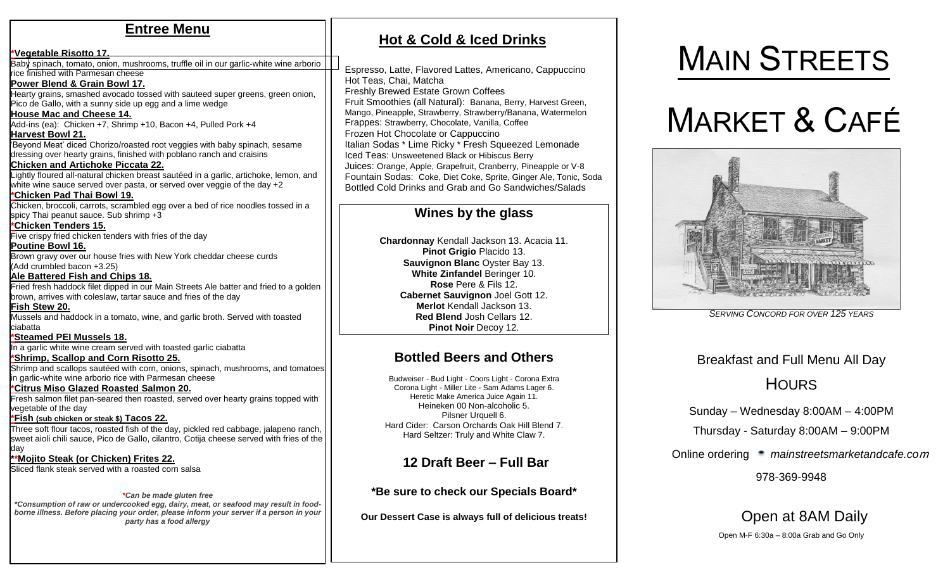### **Entree Menu**

**\*Vegetable Risotto 17.** Baby spinach, tomato, onion, mushrooms, truffle oil in our garlic-white wine arborio rice finished with Parmesan cheese **Power Blend & Grain Bowl 17.** Hearty grains, smashed avocado tossed with sauteed super greens, green onion, Pico de Gallo, with a sunny side up egg and a lime wedge **House Mac and Cheese 14.** Add-ins (ea): Chicken +7, Shrimp +10, Bacon +4, Pulled Pork +4 **Harvest Bowl 21.** 'Beyond Meat' diced Chorizo/roasted root veggies with baby spinach, sesame dressing over hearty grains, finished with poblano ranch and craisins **Chicken and Artichoke Piccata 22.** Lightly floured all-natural chicken breast sautéed in a garlic, artichoke, lemon, and white wine sauce served over pasta, or served over veggie of the day +2 **\*Chicken Pad Thai Bowl 19.** Chicken, broccoli, carrots, scrambled egg over a bed of rice noodles tossed in a spicy Thai peanut sauce. Sub shrimp +3 **\*Chicken Tenders 15.** Five crispy fried chicken tenders with fries of the day **Poutine Bowl 16.** Brown gravy over our house fries with New York cheddar cheese curds (Add crumbled bacon +3.25) **Ale Battered Fish and Chips 18.** Fried fresh haddock filet dipped in our Main Streets Ale batter and fried to a golden brown, arrives with coleslaw, tartar sauce and fries of the day **Fish Stew 20.** Mussels and haddock in a tomato, wine, and garlic broth. Served with toasted ciabatta **\*Steamed PEI Mussels 18.** In a garlic white wine cream served with toasted garlic ciabatta **\*Shrimp, Scallop and Corn Risotto 25.** Shrimp and scallops sautéed with corn, onions, spinach, mushrooms, and tomatoes in garlic-white wine arborio rice with Parmesan cheese **\*Citrus Miso Glazed Roasted Salmon 20.** Fresh salmon filet pan-seared then roasted, served over hearty grains topped with vegetable of the day **\*Fish (sub chicken or steak \$) Tacos 22.**  Three soft flour tacos, roasted fish of the day, pickled red cabbage, jalapeno ranch, sweet aioli chili sauce, Pico de Gallo, cilantro, Cotija cheese served with fries of the day **\*\*Mojito Steak (or Chicken) Frites 22.** Sliced flank steak served with a roasted corn salsa

#### *\*Can be made gluten free*

*\*Consumption of raw or undercooked egg, dairy, meat, or seafood may result in foodborne illness. Before placing your order, please inform your server if a person in your party has a food allergy*

### **Hot & Cold & Iced Drinks**

Espresso, Latte, Flavored Lattes, Americano, Cappuccino Hot Teas, Chai, Matcha Freshly Brewed Estate Grown Coffees Fruit Smoothies (all Natural): Banana, Berry, Harvest Green, Mango, Pineapple, Strawberry, Strawberry/Banana, Watermelon Frappes: Strawberry, Chocolate, Vanilla, Coffee Frozen Hot Chocolate or Cappuccino Italian Sodas \* Lime Ricky \* Fresh Squeezed Lemonade Iced Teas: Unsweetened Black or Hibiscus Berry Juices: Orange, Apple, Grapefruit, Cranberry, Pineapple or V-8 Fountain Sodas: Coke, Diet Coke, Sprite, Ginger Ale, Tonic, Soda Bottled Cold Drinks and Grab and Go Sandwiches/Salads

#### **Wines by the glass**

**Chardonnay** Kendall Jackson 13. Acacia 11. **Pinot Grigio** Placido 13. **Sauvignon Blanc** Oyster Bay 13. **White Zinfandel** Beringer 10. **Rose** Pere & Fils 12. **Cabernet Sauvignon** Joel Gott 12. **Merlot** Kendall Jackson 13. **Red Blend** Josh Cellars 12. **Pinot Noir** Decoy 12.

### **Bottled Beers and Others**

Budweiser - Bud Light - Coors Light - Corona Extra Corona Light - Miller Lite - Sam Adams Lager 6. Heretic Make America Juice Again 11. Heineken 00 Non-alcoholic 5. Pilsner Urquell 6. Hard Cider: Carson Orchards Oak Hill Blend 7. Hard Seltzer: Truly and White Claw 7.

### **12 Draft Beer – Full Bar**

**\*Be sure to check our Specials Board\***

**Our Dessert Case is always full of delicious treats!**

# MAIN STREETS

# MARKET & CAFÉ



*SERVING CONCORD FOR OVER 125 YEARS*

### Breakfast and Full Menu All Day

### **HOURS**

Sunday – Wednesday 8:00AM – 4:00PM

Thursday - Saturday 8:00AM – 9:00PM

Online ordering *mainstreetsmarketandcafe.co*<sup>m</sup>

978-369-9948

## Open at 8AM Daily

Open M-F 6:30a – 8:00a Grab and Go Only